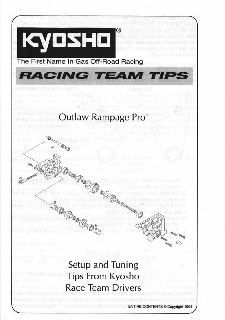

# Setup and Tuning **Tips From Kyosho Race Team Drivers**

#### ENTIRE CONTENTS © Copyright 1994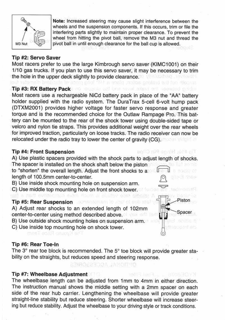

**Note:** Increased steering may cause slight interference between the wheels and the suspension components. If this occurs, trim or file the interfering parts slightly to maintain proper clearance. To prevent the wheel from hitting the pivot ball, remove the M3 nut and thread the pivot ball in until enough clearance for the ball cup is allowed.

sia proibs amient ad the mones

# **Tip #2: Servo Saver**

Most racers prefer to use the large Kimbrough servo saver (KIMC1001) on their 1/10 gas trucks. If you plan to use this servo saver, it may be necessary to trim the hole in the upper deck slightly to provide clearance.

# **Tip #3: RX Battery Pack** individuals will be senith advant and neemped griden

A) Adjust rear shocks to an extended length of 102mm center-to-center using method described above.

Most racers use a rechargeable NiCd battery pack in place of the "AA" battery holder supplied with the radio system. The DuraTrax 5-cell 6-volt hump pack (DTXM2001) provides higher voltage for faster servo response and greater torque and is the recommended choice for the Outlaw Rampage Pro. This battery can be mounted to the rear of the shock tower using double-sided tape or velcro and nylon tie straps. This provides additional weight over the rear wheels for improved traction, particularly on loose tracks. The radio receiver can now be relocated under the radio tray to lower the center of gravity (CG).

The wheelbase length can be adjusted from 1mm to 4mm in either direction. The instruction manual shows the middle setting with a 2mm spacer on each side of the rear hub carrier. Lengthening the wheelbase will provide greater straight-line stability but reduce steering. Shorter wheelbase will increase steering but reduce stability. Adjust the wheelbase to your driving style or track conditions.

#### **Tip #4: Front Suspension**

A) Use plastic spacers provided with the shock parts to adjust length of shocks. The spacer is installed on the shock shaft below the piston

to "shorten" the overall length. Adjust the front shocks to a length of 100.5mm center-to-center.

B) Use inside shock mounting hole on suspension arm.

C) Use middle top mounting hole on front shock tower.

#### **Tip #5: Rear Suspension**

a dari evrilecinos elon rist

meel soart onservilent

B) Use outside shock mounting holes on suspension arm.

C) Use inside top mounting hole on shock tower.

#### **Tip #6: Rear Toe-In**

The  $3^\circ$  rear toe block is recommended. The  $5^\circ$  toe block will provide greater sta-

**BEINAL ACCESSOR** 



Tip #16: Hings PHD CI108

10

KYOSSOWS ... ... 85083012

# bility on the straights, but reduces speed and steering response.

#### **Tip** #7: **Wheelbase Adjustment**

K.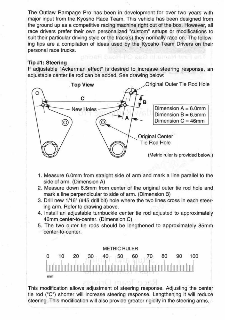The Outlaw Rampage Pro has been in development for over two years with major input from the Kyosho Race Team. This vehicle has been designed from the ground up as a competitive racing machine right out of the box. However, all race drivers prefer their own personalized "custom" setups or modifications to suit their particular driving style or the track(s} they normally race on. The following tips are a compilation of ideas used by the Kyosho Team Drivers on their personal race trucks.

#### **Tip #1 : Steering**

If adjustable "Ackerman effect" is desired to increase steering response, an adjustable center tie rod can be added. See drawing below:

The First Nama In Gas Off-Papel Recinq



- **1.** Measure 6.0mm from straight side of arm and mark a line parallel to the side of arm. (Dimension A)
- 2. Measure down 6.5mm from center of the original outer tie rod hole and mark a line perpendicular to side of arm. (Dimension B)
- 3. Drill new 1/16" (#45 drill bit) hole where the two lines cross in each steering arm. Refer to drawing above.
- 4. Install an adjustable turnbuckle center tie rod adjusted to approximately 46mm center-to-center. (Dimension C)
- 5. The two outer tie rods should be lengthened to approximately 85mm center-to-center.

#### METRIC RULER



This modification allows adjustment of steering response. Adjusting the center tie rod ("C") shorter will increase steering response. Lengthening it will reduce steering. This modification will also provide greater rigidity in the steering arms.